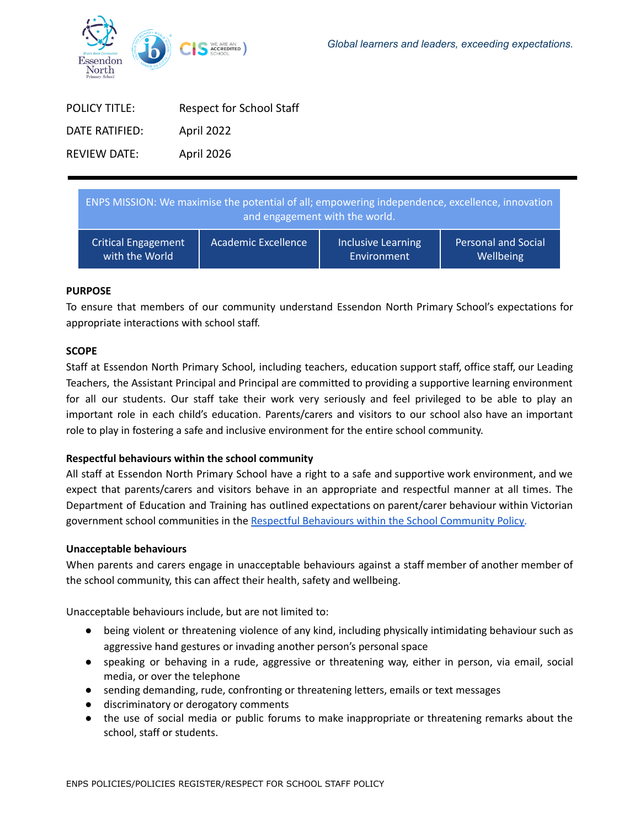

| <b>POLICY TITLE:</b> | <b>Respect for School Staff</b> |
|----------------------|---------------------------------|
| DATE RATIFIFD:       | April 2022                      |
| REVIEW DATE:         | April 2026                      |

| ENPS MISSION: We maximise the potential of all; empowering independence, excellence, innovation<br>and engagement with the world. |                     |                           |                            |
|-----------------------------------------------------------------------------------------------------------------------------------|---------------------|---------------------------|----------------------------|
| <b>Critical Engagement</b>                                                                                                        | Academic Excellence | <b>Inclusive Learning</b> | <b>Personal and Social</b> |
| with the World                                                                                                                    |                     | Environment               | Wellbeing                  |

## **PURPOSE**

To ensure that members of our community understand Essendon North Primary School's expectations for appropriate interactions with school staff.

## **SCOPE**

Staff at Essendon North Primary School, including teachers, education support staff, office staff, our Leading Teachers, the Assistant Principal and Principal are committed to providing a supportive learning environment for all our students. Our staff take their work very seriously and feel privileged to be able to play an important role in each child's education. Parents/carers and visitors to our school also have an important role to play in fostering a safe and inclusive environment for the entire school community.

# **Respectful behaviours within the school community**

All staff at Essendon North Primary School have a right to a safe and supportive work environment, and we expect that parents/carers and visitors behave in an appropriate and respectful manner at all times. The Department of Education and Training has outlined expectations on parent/carer behaviour within Victorian government school communities in the Respectful Behaviours within the School [Community](https://www.education.vic.gov.au/Pages/Respectful-Behaviours-within-the-School-Community-Policy.aspx) Policy.

#### **Unacceptable behaviours**

When parents and carers engage in unacceptable behaviours against a staff member of another member of the school community, this can affect their health, safety and wellbeing.

Unacceptable behaviours include, but are not limited to:

- being violent or threatening violence of any kind, including physically intimidating behaviour such as aggressive hand gestures or invading another person's personal space
- speaking or behaving in a rude, aggressive or threatening way, either in person, via email, social media, or over the telephone
- sending demanding, rude, confronting or threatening letters, emails or text messages
- discriminatory or derogatory comments
- the use of social media or public forums to make inappropriate or threatening remarks about the school, staff or students.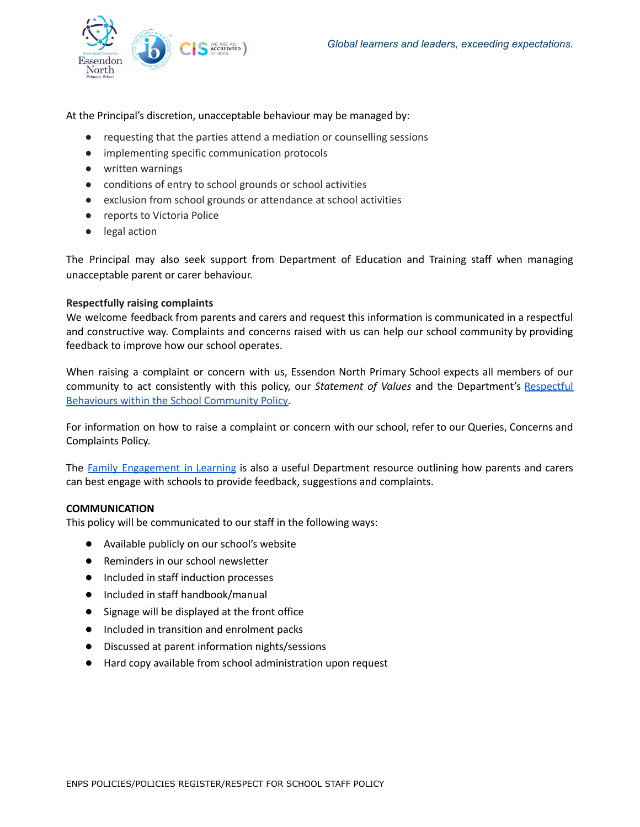

At the Principal's discretion, unacceptable behaviour may be managed by:

- requesting that the parties attend a mediation or counselling sessions
- implementing specific communication protocols
- written warnings
- conditions of entry to school grounds or school activities
- exclusion from school grounds or attendance at school activities
- reports to Victoria Police
- legal action

The Principal may also seek support from Department of Education and Training staff when managing unacceptable parent or carer behaviour.

#### **Respectfully raising complaints**

We welcome feedback from parents and carers and request this information is communicated in a respectful and constructive way. Complaints and concerns raised with us can help our school community by providing feedback to improve how our school operates.

When raising a complaint or concern with us, Essendon North Primary School expects all members of our community to act consistently with this policy, our *Statement of Values* and the Department's [Respectful](https://www.education.vic.gov.au/Pages/Respectful-Behaviours-within-the-School-Community-Policy.aspx) Behaviours within the School [Community](https://www.education.vic.gov.au/Pages/Respectful-Behaviours-within-the-School-Community-Policy.aspx) Policy.

For information on how to raise a complaint or concern with our school, refer to our Queries, Concerns and Complaints Policy.

The Family [Engagement](https://www.education.vic.gov.au/PAL/family-engagement-in-learning.docx) in Learning is also a useful Department resource outlining how parents and carers can best engage with schools to provide feedback, suggestions and complaints.

#### **COMMUNICATION**

This policy will be communicated to our staff in the following ways:

- Available publicly on our school's website
- Reminders in our school newsletter
- Included in staff induction processes
- Included in staff handbook/manual
- Signage will be displayed at the front office
- Included in transition and enrolment packs
- Discussed at parent information nights/sessions
- Hard copy available from school administration upon request